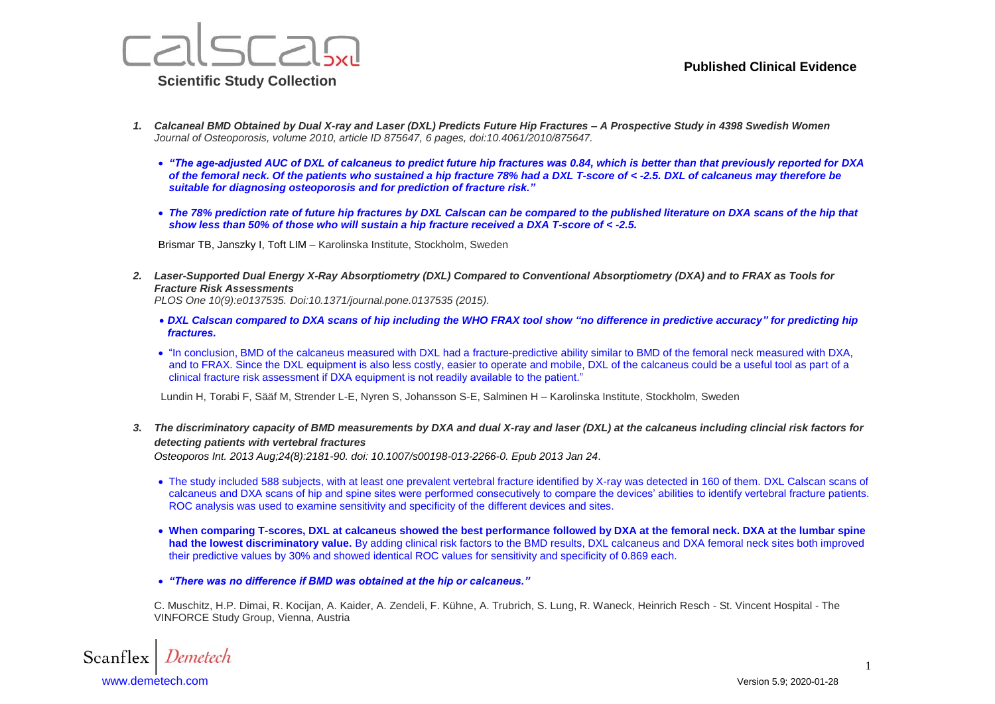

- *1. Calcaneal BMD Obtained by Dual X-ray and Laser (DXL) Predicts Future Hip Fractures – A Prospective Study in 4398 Swedish Women Journal of Osteoporosis, volume 2010, article ID 875647, 6 pages, doi:10.4061/2010/875647.*
	- *"The age-adjusted AUC of DXL of calcaneus to predict future hip fractures was 0.84, which is better than that previously reported for DXA of the femoral neck. Of the patients who sustained a hip fracture 78% had a DXL T-score of < -2.5. DXL of calcaneus may therefore be suitable for diagnosing osteoporosis and for prediction of fracture risk."*
	- The 78% prediction rate of future hip fractures by DXL Calscan can be compared to the published literature on DXA scans of the hip that *show less than 50% of those who will sustain a hip fracture received a DXA T-score of < -2.5.*

Brismar TB, Janszky I, Toft LIM – Karolinska Institute, Stockholm, Sweden

*2. Laser-Supported Dual Energy X-Ray Absorptiometry (DXL) Compared to Conventional Absorptiometry (DXA) and to FRAX as Tools for Fracture Risk Assessments*

*PLOS One 10(9):e0137535. Doi:10.1371/journal.pone.0137535 (2015).*

- *DXL Calscan compared to DXA scans of hip including the WHO FRAX tool show "no difference in predictive accuracy" for predicting hip fractures.*
- "In conclusion, BMD of the calcaneus measured with DXL had a fracture-predictive ability similar to BMD of the femoral neck measured with DXA, and to FRAX. Since the DXL equipment is also less costly, easier to operate and mobile, DXL of the calcaneus could be a useful tool as part of a clinical fracture risk assessment if DXA equipment is not readily available to the patient."

Lundin H, Torabi F, Sääf M, Strender L-E, Nyren S, Johansson S-E, Salminen H – Karolinska Institute, Stockholm, Sweden

*3. The discriminatory capacity of BMD measurements by DXA and dual X-ray and laser (DXL) at the calcaneus including clincial risk factors for detecting patients with vertebral fractures*

*Osteoporos Int. 2013 Aug;24(8):2181-90. doi: 10.1007/s00198-013-2266-0. Epub 2013 Jan 24*.

- The study included 588 subjects, with at least one prevalent vertebral fracture identified by X-ray was detected in 160 of them. DXL Calscan scans of calcaneus and DXA scans of hip and spine sites were performed consecutively to compare the devices' abilities to identify vertebral fracture patients. ROC analysis was used to examine sensitivity and specificity of the different devices and sites.
- **When comparing T-scores, DXL at calcaneus showed the best performance followed by DXA at the femoral neck. DXA at the lumbar spine had the lowest discriminatory value.** By adding clinical risk factors to the BMD results, DXL calcaneus and DXA femoral neck sites both improved their predictive values by 30% and showed identical ROC values for sensitivity and specificity of 0.869 each.
- *"There was no difference if BMD was obtained at the hip or calcaneus."*

C. Muschitz, H.P. Dimai, R. Kocijan, A. Kaider, A. Zendeli, F. Kühne, A. Trubrich, S. Lung, R. Waneck, Heinrich Resch - St. Vincent Hospital - The VINFORCE Study Group, Vienna, Austria

Scanflex [www.demetech.com](http://www.demetech.com/) Version 5.9; 2020-01-28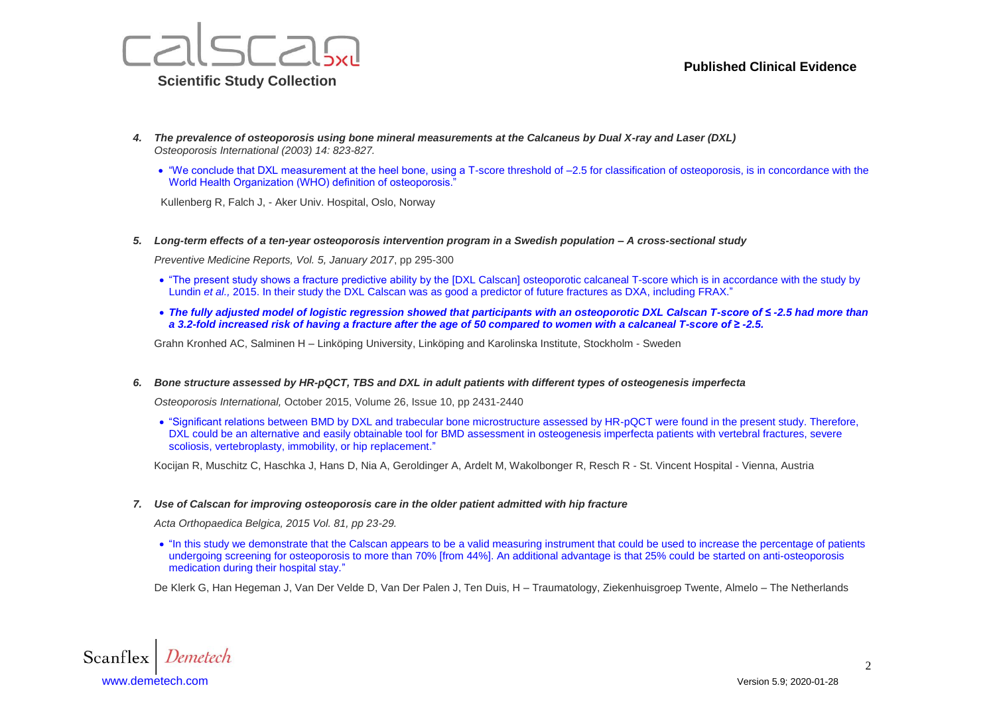

- *4. The prevalence of osteoporosis using bone mineral measurements at the Calcaneus by Dual X-ray and Laser (DXL) Osteoporosis International (2003) 14: 823-827.*
	- "We conclude that DXL measurement at the heel bone, using a T-score threshold of –2.5 for classification of osteoporosis, is in concordance with the World Health Organization (WHO) definition of osteoporosis.

Kullenberg R, Falch J, - Aker Univ. Hospital, Oslo, Norway

*5. Long-term effects of a ten-year osteoporosis intervention program in a Swedish population – A cross-sectional study* 

*Preventive Medicine Reports, Vol. 5, January 2017*, pp 295-300

- "The present study shows a fracture predictive ability by the [DXL Calscan] osteoporotic calcaneal T-score which is in accordance with the study by Lundin *et al.,* 2015. In their study the DXL Calscan was as good a predictor of future fractures as DXA, including FRAX."
- *The fully adjusted model of logistic regression showed that participants with an osteoporotic DXL Calscan T-score of ≤ -2.5 had more than a 3.2-fold increased risk of having a fracture after the age of 50 compared to women with a calcaneal T-score of ≥ -2.5.*

Grahn Kronhed AC, Salminen H – Linköping University, Linköping and Karolinska Institute, Stockholm - Sweden

*6. Bone structure assessed by HR-pQCT, TBS and DXL in adult patients with different types of osteogenesis imperfecta* 

*Osteoporosis International,* October 2015, Volume 26, Issue 10, pp 2431-2440

 "Significant relations between BMD by DXL and trabecular bone microstructure assessed by HR-pQCT were found in the present study. Therefore, DXL could be an alternative and easily obtainable tool for BMD assessment in osteogenesis imperfecta patients with vertebral fractures, severe scoliosis, vertebroplasty, immobility, or hip replacement."

Kocijan R, Muschitz C, Haschka J, Hans D, Nia A, Geroldinger A, Ardelt M, Wakolbonger R, Resch R - St. Vincent Hospital - Vienna, Austria

### *7. Use of Calscan for improving osteoporosis care in the older patient admitted with hip fracture*

*Acta Orthopaedica Belgica, 2015 Vol. 81, pp 23-29.*

 "In this study we demonstrate that the Calscan appears to be a valid measuring instrument that could be used to increase the percentage of patients undergoing screening for osteoporosis to more than 70% [from 44%]. An additional advantage is that 25% could be started on anti-osteoporosis medication during their hospital stay."

De Klerk G, Han Hegeman J, Van Der Velde D, Van Der Palen J, Ten Duis, H – Traumatology, Ziekenhuisgroep Twente, Almelo – The Netherlands

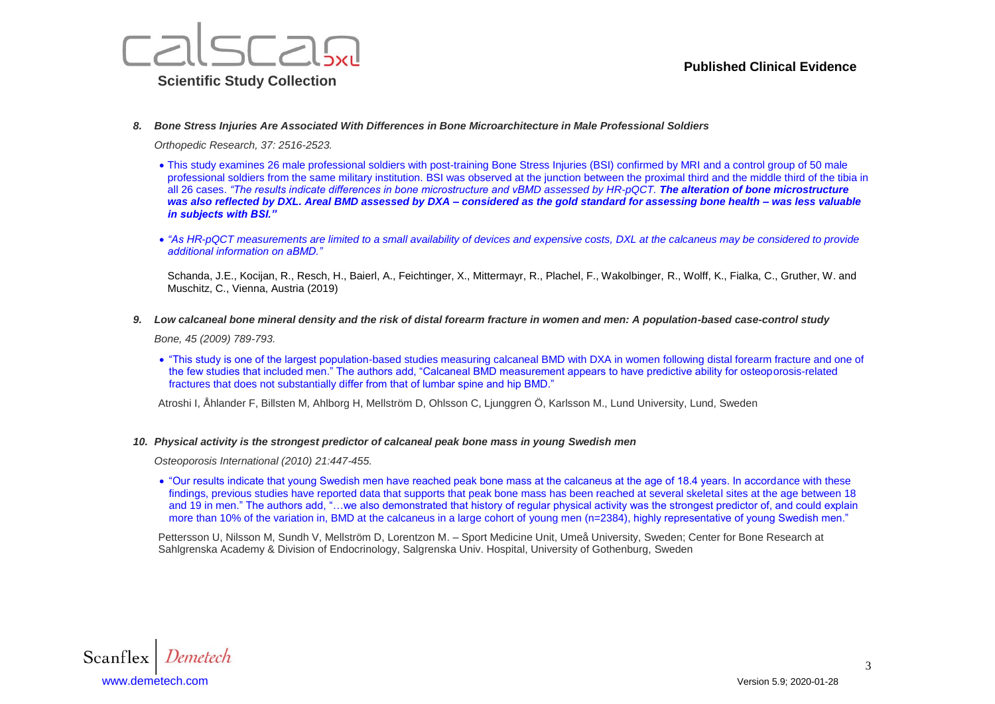



*8. Bone Stress Injuries Are Associated With Differences in Bone Microarchitecture in Male Professional Soldiers*

*Orthopedic Research, 37: 2516-2523.* 

- This study examines 26 male professional soldiers with post-training Bone Stress Injuries (BSI) confirmed by MRI and a control group of 50 male professional soldiers from the same military institution. BSI was observed at the junction between the proximal third and the middle third of the tibia in all 26 cases. "The results indicate differences in bone microstructure and vBMD assessed by HR-pQCT. **The alteration of bone microstructure** *was also reflected by DXL. Areal BMD assessed by DXA – considered as the gold standard for assessing bone health – was less valuable in subjects with BSI."*
- "As HR-pQCT measurements are limited to a small availability of devices and expensive costs, DXL at the calcaneus may be considered to provide *additional information on aBMD."*

Schanda, J.E., Kocijan, R., Resch, H., Baierl, A., Feichtinger, X., Mittermayr, R., Plachel, F., Wakolbinger, R., Wolff, K., Fialka, C., Gruther, W. and Muschitz, C., Vienna, Austria (2019)

*9. Low calcaneal bone mineral density and the risk of distal forearm fracture in women and men: A population-based case-control study* 

*Bone, 45 (2009) 789-793.*

 "This study is one of the largest population-based studies measuring calcaneal BMD with DXA in women following distal forearm fracture and one of the few studies that included men." The authors add, "Calcaneal BMD measurement appears to have predictive ability for osteoporosis-related fractures that does not substantially differ from that of lumbar spine and hip BMD."

Atroshi I, Åhlander F, Billsten M, Ahlborg H, Mellström D, Ohlsson C, Ljunggren Ö, Karlsson M., Lund University, Lund, Sweden

#### *10. Physical activity is the strongest predictor of calcaneal peak bone mass in young Swedish men*

*Osteoporosis International (2010) 21:447-455.*

 "Our results indicate that young Swedish men have reached peak bone mass at the calcaneus at the age of 18.4 years. In accordance with these findings, previous studies have reported data that supports that peak bone mass has been reached at several skeletal sites at the age between 18 and 19 in men." The authors add, "…we also demonstrated that history of regular physical activity was the strongest predictor of, and could explain more than 10% of the variation in, BMD at the calcaneus in a large cohort of young men (n=2384), highly representative of young Swedish men."

Pettersson U, Nilsson M, Sundh V, Mellström D, Lorentzon M. – Sport Medicine Unit, Umeå University, Sweden; Center for Bone Research at Sahlgrenska Academy & Division of Endocrinology, Salgrenska Univ. Hospital, University of Gothenburg, Sweden

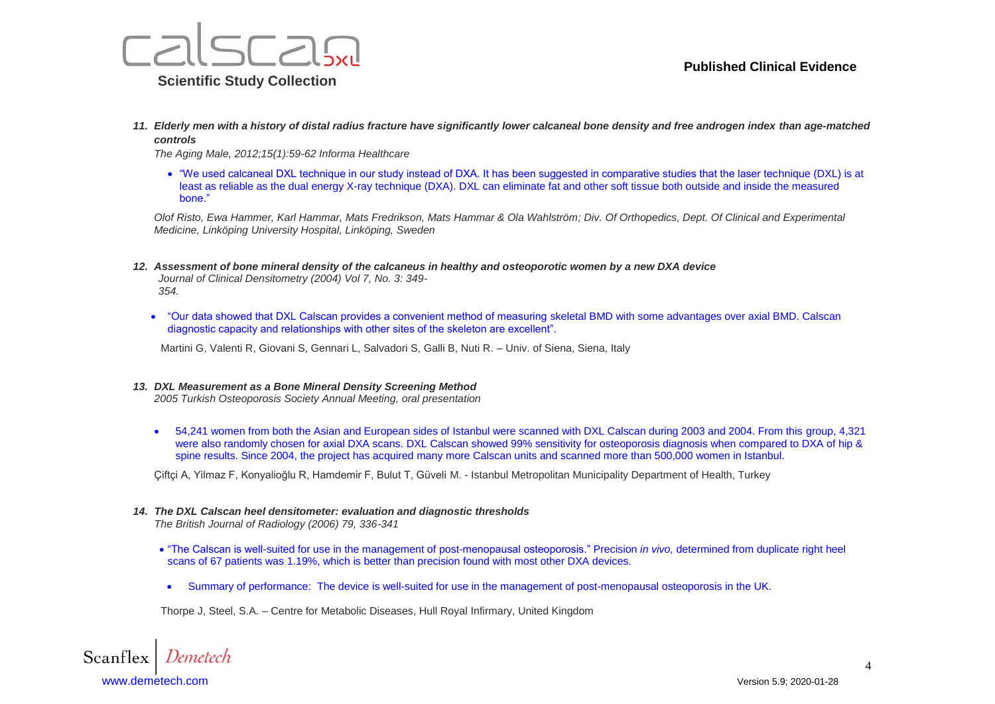

*11. Elderly men with a history of distal radius fracture have significantly lower calcaneal bone density and free androgen index than age-matched controls*

*The Aging Male, 2012;15(1):59-62 Informa Healthcare*

 "We used calcaneal DXL technique in our study instead of DXA. It has been suggested in comparative studies that the laser technique (DXL) is at least as reliable as the dual energy X-ray technique (DXA). DXL can eliminate fat and other soft tissue both outside and inside the measured bone."

*Olof Risto, Ewa Hammer, Karl Hammar, Mats Fredrikson, Mats Hammar & Ola Wahlström; Div. Of Orthopedics, Dept. Of Clinical and Experimental Medicine, Linköping University Hospital, Linköping, Sweden*

- *12. Assessment of bone mineral density of the calcaneus in healthy and osteoporotic women by a new DXA device Journal of Clinical Densitometry (2004) Vol 7, No. 3: 349- 354.*
	- "Our data showed that DXL Calscan provides a convenient method of measuring skeletal BMD with some advantages over axial BMD. Calscan diagnostic capacity and relationships with other sites of the skeleton are excellent".

Martini G, Valenti R, Giovani S, Gennari L, Salvadori S, Galli B, Nuti R. – Univ. of Siena, Siena, Italy

### *13. DXL Measurement as a Bone Mineral Density Screening Method*

*2005 Turkish Osteoporosis Society Annual Meeting, oral presentation*

 54,241 women from both the Asian and European sides of Istanbul were scanned with DXL Calscan during 2003 and 2004. From this group, 4,321 were also randomly chosen for axial DXA scans. DXL Calscan showed 99% sensitivity for osteoporosis diagnosis when compared to DXA of hip & spine results. Since 2004, the project has acquired many more Calscan units and scanned more than 500,000 women in Istanbul.

Çiftçi A, Yilmaz F, Konyalioğlu R, Hamdemir F, Bulut T, Güveli M. - Istanbul Metropolitan Municipality Department of Health, Turkey

### *14. The DXL Calscan heel densitometer: evaluation and diagnostic thresholds*

*The British Journal of Radiology (2006) 79, 336-341*

- "The Calscan is well-suited for use in the management of post-menopausal osteoporosis." Precision *in vivo,* determined from duplicate right heel scans of 67 patients was 1.19%, which is better than precision found with most other DXA devices.
- Summary of performance: The device is well-suited for use in the management of post-menopausal osteoporosis in the UK.

Thorpe J, Steel, S.A. – Centre for Metabolic Diseases, Hull Royal Infirmary, United Kingdom

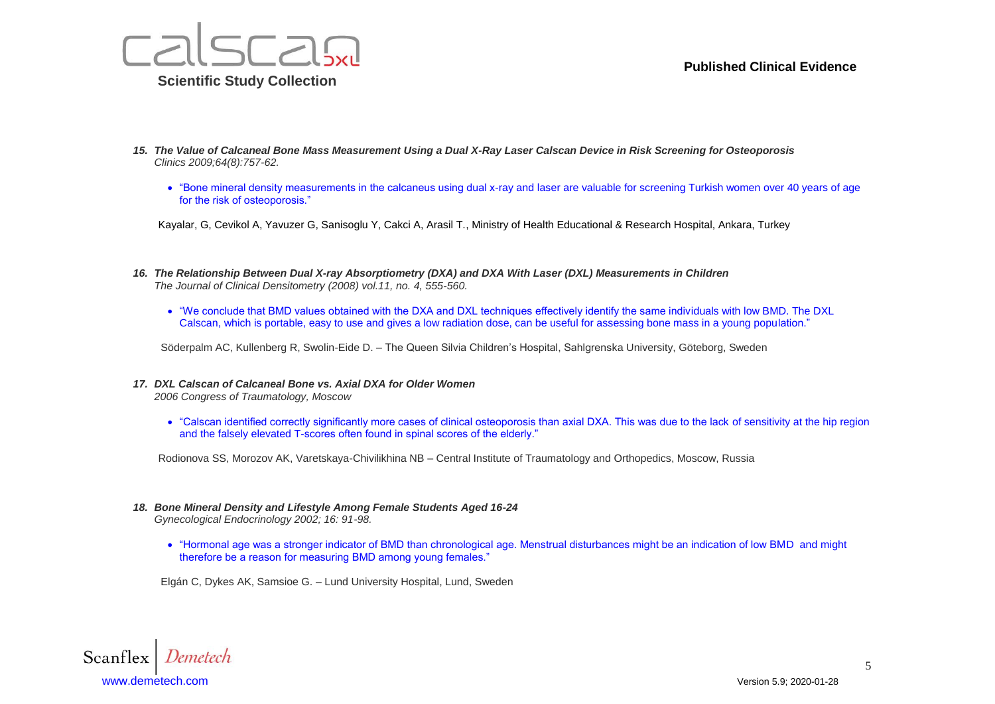

- *15. The Value of Calcaneal Bone Mass Measurement Using a Dual X-Ray Laser Calscan Device in Risk Screening for Osteoporosis Clinics 2009;64(8):757-62.*
	- "Bone mineral density measurements in the calcaneus using dual x-ray and laser are valuable for screening Turkish women over 40 years of age for the risk of osteoporosis."

Kayalar, G, Cevikol A, Yavuzer G, Sanisoglu Y, Cakci A, Arasil T., Ministry of Health Educational & Research Hospital, Ankara, Turkey

- *16. The Relationship Between Dual X-ray Absorptiometry (DXA) and DXA With Laser (DXL) Measurements in Children The Journal of Clinical Densitometry (2008) vol.11, no. 4, 555-560.*
	- "We conclude that BMD values obtained with the DXA and DXL techniques effectively identify the same individuals with low BMD. The DXL Calscan, which is portable, easy to use and gives a low radiation dose, can be useful for assessing bone mass in a young population."

Söderpalm AC, Kullenberg R, Swolin-Eide D. – The Queen Silvia Children's Hospital, Sahlgrenska University, Göteborg, Sweden

- *17. DXL Calscan of Calcaneal Bone vs. Axial DXA for Older Women 2006 Congress of Traumatology, Moscow*
	- "Calscan identified correctly significantly more cases of clinical osteoporosis than axial DXA. This was due to the lack of sensitivity at the hip region and the falsely elevated T-scores often found in spinal scores of the elderly."

Rodionova SS, Morozov AK, Varetskaya-Chivilikhina NB – Central Institute of Traumatology and Orthopedics, Moscow, Russia

- *18. Bone Mineral Density and Lifestyle Among Female Students Aged 16-24 Gynecological Endocrinology 2002; 16: 91-98.*
	- "Hormonal age was a stronger indicator of BMD than chronological age. Menstrual disturbances might be an indication of low BMD and might therefore be a reason for measuring BMD among young females."

Elgán C, Dykes AK, Samsioe G. – Lund University Hospital, Lund, Sweden

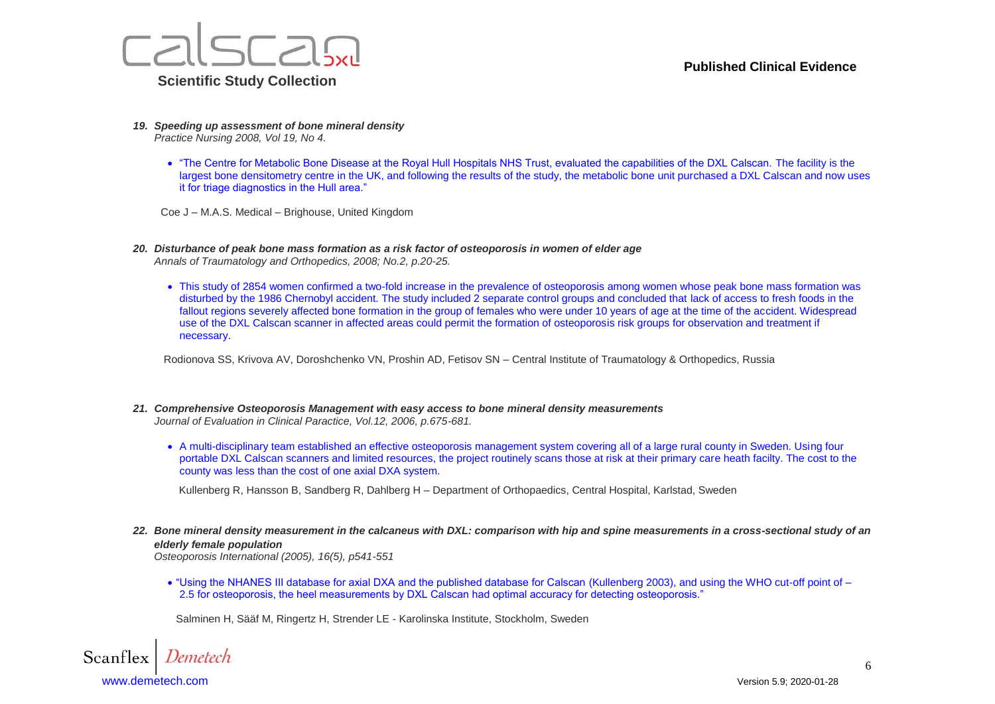

- *19. Speeding up assessment of bone mineral density Practice Nursing 2008, Vol 19, No 4.*
	- "The Centre for Metabolic Bone Disease at the Royal Hull Hospitals NHS Trust, evaluated the capabilities of the DXL Calscan. The facility is the largest bone densitometry centre in the UK, and following the results of the study, the metabolic bone unit purchased a DXL Calscan and now uses it for triage diagnostics in the Hull area."

Coe J – M.A.S. Medical – Brighouse, United Kingdom

- *20. Disturbance of peak bone mass formation as a risk factor of osteoporosis in women of elder age Annals of Traumatology and Orthopedics, 2008; No.2, p.20-25.*
	- This study of 2854 women confirmed a two-fold increase in the prevalence of osteoporosis among women whose peak bone mass formation was disturbed by the 1986 Chernobyl accident. The study included 2 separate control groups and concluded that lack of access to fresh foods in the fallout regions severely affected bone formation in the group of females who were under 10 years of age at the time of the accident. Widespread use of the DXL Calscan scanner in affected areas could permit the formation of osteoporosis risk groups for observation and treatment if necessary.

Rodionova SS, Krivova AV, Doroshchenko VN, Proshin AD, Fetisov SN – Central Institute of Traumatology & Orthopedics, Russia

- *21. Comprehensive Osteoporosis Management with easy access to bone mineral density measurements Journal of Evaluation in Clinical Paractice, Vol.12, 2006, p.675-681.*
	- A multi-disciplinary team established an effective osteoporosis management system covering all of a large rural county in Sweden. Using four portable DXL Calscan scanners and limited resources, the project routinely scans those at risk at their primary care heath facilty. The cost to the county was less than the cost of one axial DXA system.

Kullenberg R, Hansson B, Sandberg R, Dahlberg H – Department of Orthopaedics, Central Hospital, Karlstad, Sweden

*22. Bone mineral density measurement in the calcaneus with DXL: comparison with hip and spine measurements in a cross-sectional study of an elderly female population*

*Osteoporosis International (2005), 16(5), p541-551*

 "Using the NHANES III database for axial DXA and the published database for Calscan (Kullenberg 2003), and using the WHO cut-off point of – 2.5 for osteoporosis, the heel measurements by DXL Calscan had optimal accuracy for detecting osteoporosis."

Salminen H, Sääf M, Ringertz H, Strender LE - Karolinska Institute, Stockholm, Sweden

Scanflex [www.demetech.com](http://www.demetech.com/) Version 5.9; 2020-01-28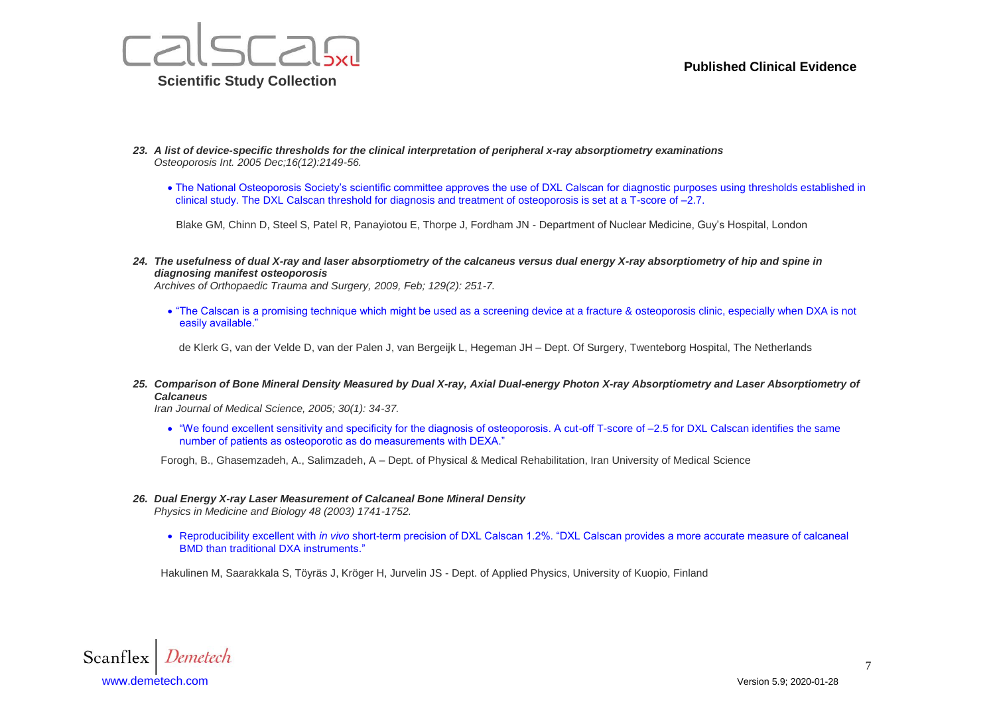

- *23. A list of device-specific thresholds for the clinical interpretation of peripheral x-ray absorptiometry examinations Osteoporosis Int. 2005 Dec;16(12):2149-56.*
	- The National Osteoporosis Society's scientific committee approves the use of DXL Calscan for diagnostic purposes using thresholds established in clinical study. The DXL Calscan threshold for diagnosis and treatment of osteoporosis is set at a T-score of -2.7.

Blake GM, Chinn D, Steel S, Patel R, Panayiotou E, Thorpe J, Fordham JN - Department of Nuclear Medicine, Guy's Hospital, London

*24. The usefulness of dual X-ray and laser absorptiometry of the calcaneus versus dual energy X-ray absorptiometry of hip and spine in diagnosing manifest osteoporosis*

*Archives of Orthopaedic Trauma and Surgery, 2009, Feb; 129(2): 251-7.*

 "The Calscan is a promising technique which might be used as a screening device at a fracture & osteoporosis clinic, especially when DXA is not easily available."

[de Klerk G,](http://www.ncbi.nlm.nih.gov/sites/entrez?Db=pubmed&Cmd=Search&Term=%22de%20Klerk%20G%22%5BAuthor%5D&itool=EntrezSystem2.PEntrez.Pubmed.Pubmed_ResultsPanel.Pubmed_DiscoveryPanel.Pubmed_RVAbstractPlus) [van der Velde D,](http://www.ncbi.nlm.nih.gov/sites/entrez?Db=pubmed&Cmd=Search&Term=%22van%20der%20Velde%20D%22%5BAuthor%5D&itool=EntrezSystem2.PEntrez.Pubmed.Pubmed_ResultsPanel.Pubmed_DiscoveryPanel.Pubmed_RVAbstractPlus) [van der Palen J,](http://www.ncbi.nlm.nih.gov/sites/entrez?Db=pubmed&Cmd=Search&Term=%22van%20der%20Palen%20J%22%5BAuthor%5D&itool=EntrezSystem2.PEntrez.Pubmed.Pubmed_ResultsPanel.Pubmed_DiscoveryPanel.Pubmed_RVAbstractPlus) [van Bergeijk L,](http://www.ncbi.nlm.nih.gov/sites/entrez?Db=pubmed&Cmd=Search&Term=%22van%20Bergeijk%20L%22%5BAuthor%5D&itool=EntrezSystem2.PEntrez.Pubmed.Pubmed_ResultsPanel.Pubmed_DiscoveryPanel.Pubmed_RVAbstractPlus) [Hegeman JH](http://www.ncbi.nlm.nih.gov/sites/entrez?Db=pubmed&Cmd=Search&Term=%22Hegeman%20JH%22%5BAuthor%5D&itool=EntrezSystem2.PEntrez.Pubmed.Pubmed_ResultsPanel.Pubmed_DiscoveryPanel.Pubmed_RVAbstractPlus) – Dept. Of Surgery, Twenteborg Hospital, The Netherlands

*25. Comparison of Bone Mineral Density Measured by Dual X-ray, Axial Dual-energy Photon X-ray Absorptiometry and Laser Absorptiometry of Calcaneus* 

*Iran Journal of Medical Science, 2005; 30(1): 34-37.*

 "We found excellent sensitivity and specificity for the diagnosis of osteoporosis. A cut-off T-score of –2.5 for DXL Calscan identifies the same number of patients as osteoporotic as do measurements with DEXA."

Forogh, B., Ghasemzadeh, A., Salimzadeh, A – Dept. of Physical & Medical Rehabilitation, Iran University of Medical Science

*26. Dual Energy X-ray Laser Measurement of Calcaneal Bone Mineral Density*

*Physics in Medicine and Biology 48 (2003) 1741-1752.*

 Reproducibility excellent with *in vivo* short-term precision of DXL Calscan 1.2%. "DXL Calscan provides a more accurate measure of calcaneal BMD than traditional DXA instruments."

Hakulinen M, Saarakkala S, Töyräs J, Kröger H, Jurvelin JS - Dept. of Applied Physics, University of Kuopio, Finland

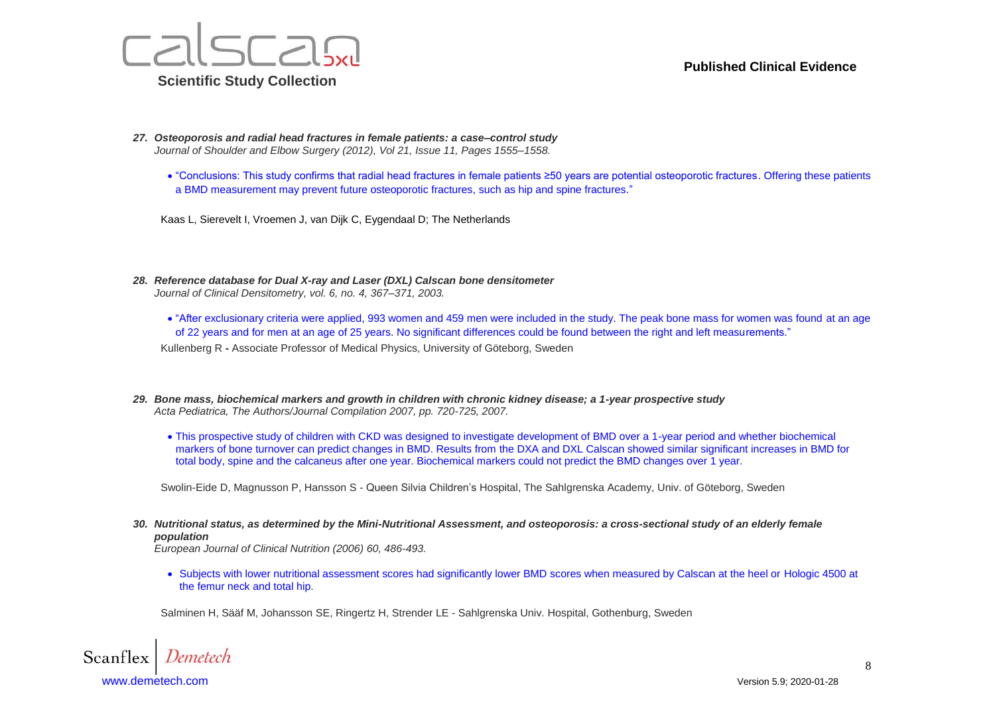

- *27. Osteoporosis and radial head fractures in female patients: a case–control study Journal of Shoulder and Elbow Surgery (2012), Vol 21, Issue 11, Pages 1555–1558.*
	- "Conclusions: This study confirms that radial head fractures in female patients ≥50 years are potential osteoporotic fractures. Offering these patients a BMD measurement may prevent future osteoporotic fractures, such as hip and spine fractures."

Kaas L, Sierevelt I, Vroemen J, van Dijk C, Eygendaal D; The Netherlands

- *28. Reference database for Dual X-ray and Laser (DXL) Calscan bone densitometer Journal of Clinical Densitometry, vol. 6, no. 4, 367–371, 2003.*
	- "After exclusionary criteria were applied, 993 women and 459 men were included in the study. The peak bone mass for women was found at an age of 22 years and for men at an age of 25 years. No significant differences could be found between the right and left measurements."

Kullenberg R **-** Associate Professor of Medical Physics, University of Göteborg, Sweden

- *29. Bone mass, biochemical markers and growth in children with chronic kidney disease; a 1-year prospective study Acta Pediatrica, The Authors/Journal Compilation 2007, pp. 720-725, 2007.*
	- This prospective study of children with CKD was designed to investigate development of BMD over a 1-year period and whether biochemical markers of bone turnover can predict changes in BMD. Results from the DXA and DXL Calscan showed similar significant increases in BMD for total body, spine and the calcaneus after one year. Biochemical markers could not predict the BMD changes over 1 year.

Swolin-Eide D, Magnusson P, Hansson S - Queen Silvia Children's Hospital, The Sahlgrenska Academy, Univ. of Göteborg, Sweden

*30. Nutritional status, as determined by the Mini-Nutritional Assessment, and osteoporosis: a cross-sectional study of an elderly female population*

*European Journal of Clinical Nutrition (2006) 60, 486-493.*

 Subjects with lower nutritional assessment scores had significantly lower BMD scores when measured by Calscan at the heel or Hologic 4500 at the femur neck and total hip.

Salminen H, Sääf M, Johansson SE, Ringertz H, Strender LE - Sahlgrenska Univ. Hospital, Gothenburg, Sweden

Scanflex [www.demetech.com](http://www.demetech.com/) Version 5.9; 2020-01-28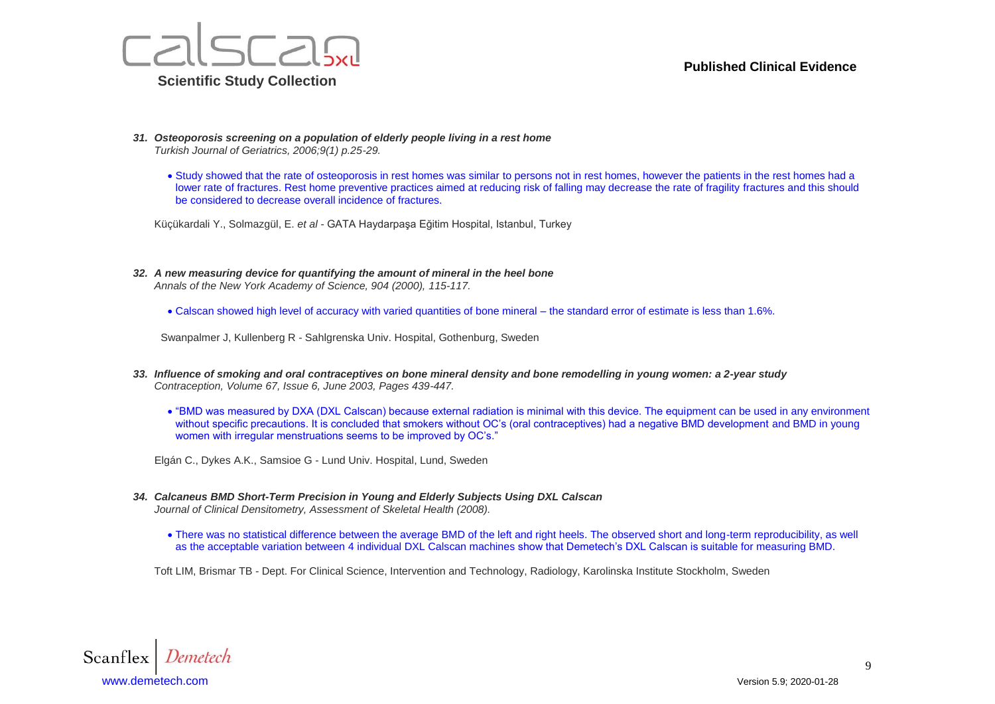



- *31. Osteoporosis screening on a population of elderly people living in a rest home Turkish Journal of Geriatrics, 2006;9(1) p.25-29.*
	- Study showed that the rate of osteoporosis in rest homes was similar to persons not in rest homes, however the patients in the rest homes had a lower rate of fractures. Rest home preventive practices aimed at reducing risk of falling may decrease the rate of fragility fractures and this should be considered to decrease overall incidence of fractures.

Küçükardali Y., Solmazgül, E. *et al -* GATA Haydarpaşa Eğitim Hospital, Istanbul, Turkey

- *32. A new measuring device for quantifying the amount of mineral in the heel bone Annals of the New York Academy of Science, 904 (2000), 115-117.*
	- Calscan showed high level of accuracy with varied quantities of bone mineral the standard error of estimate is less than 1.6%.

Swanpalmer J, Kullenberg R - Sahlgrenska Univ. Hospital, Gothenburg, Sweden

- *33. Influence of smoking and oral contraceptives on bone mineral density and bone remodelling in young women: a 2-year study Contraception, Volume 67, Issue 6, June 2003, Pages 439-447.*
	- "BMD was measured by DXA (DXL Calscan) because external radiation is minimal with this device. The equipment can be used in any environment without specific precautions. It is concluded that smokers without OC's (oral contraceptives) had a negative BMD development and BMD in young women with irregular menstruations seems to be improved by OC's."

Elgán C., Dykes A.K., Samsioe G - Lund Univ. Hospital, Lund, Sweden

- *34. Calcaneus BMD Short-Term Precision in Young and Elderly Subjects Using DXL Calscan Journal of Clinical Densitometry, Assessment of Skeletal Health (2008).*
	- There was no statistical difference between the average BMD of the left and right heels. The observed short and long-term reproducibility, as well as the acceptable variation between 4 individual DXL Calscan machines show that Demetech's DXL Calscan is suitable for measuring BMD.

Toft LIM, Brismar TB - Dept. For Clinical Science, Intervention and Technology, Radiology, Karolinska Institute Stockholm, Sweden

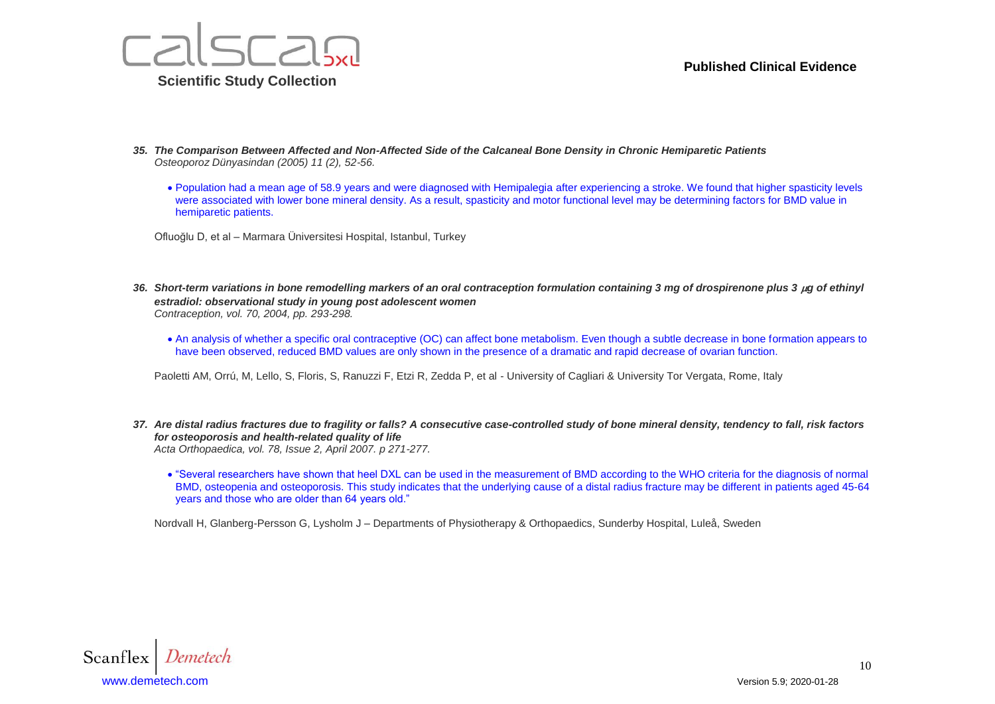



- *35. The Comparison Between Affected and Non-Affected Side of the Calcaneal Bone Density in Chronic Hemiparetic Patients Osteoporoz Dünyasindan (2005) 11 (2), 52-56.*
	- Population had a mean age of 58.9 years and were diagnosed with Hemipalegia after experiencing a stroke. We found that higher spasticity levels were associated with lower bone mineral density. As a result, spasticity and motor functional level may be determining factors for BMD value in hemiparetic patients.
	- Ofluoğlu D, et al Marmara Üniversitesi Hospital, Istanbul, Turkey
- 36. Short-term variations in bone remodelling markers of an oral contraception formulation containing 3 mg of drospirenone plus 3 µg of ethinyl *estradiol: observational study in young post adolescent women Contraception, vol. 70, 2004, pp. 293-298.*
	- An analysis of whether a specific oral contraceptive (OC) can affect bone metabolism. Even though a subtle decrease in bone formation appears to have been observed, reduced BMD values are only shown in the presence of a dramatic and rapid decrease of ovarian function.

Paoletti AM, Orrú, M, Lello, S, Floris, S, Ranuzzi F, Etzi R, Zedda P, et al - University of Cagliari & University Tor Vergata, Rome, Italy

- *37. Are distal radius fractures due to fragility or falls? A consecutive case-controlled study of bone mineral density, tendency to fall, risk factors for osteoporosis and health-related quality of life Acta Orthopaedica, vol. 78, Issue 2, April 2007. p 271-277.*
	- "Several researchers have shown that heel DXL can be used in the measurement of BMD according to the WHO criteria for the diagnosis of normal BMD, osteopenia and osteoporosis. This study indicates that the underlying cause of a distal radius fracture may be different in patients aged 45-64 years and those who are older than 64 years old."

Nordvall H, Glanberg-Persson G, Lysholm J – Departments of Physiotherapy & Orthopaedics, Sunderby Hospital, Luleå, Sweden

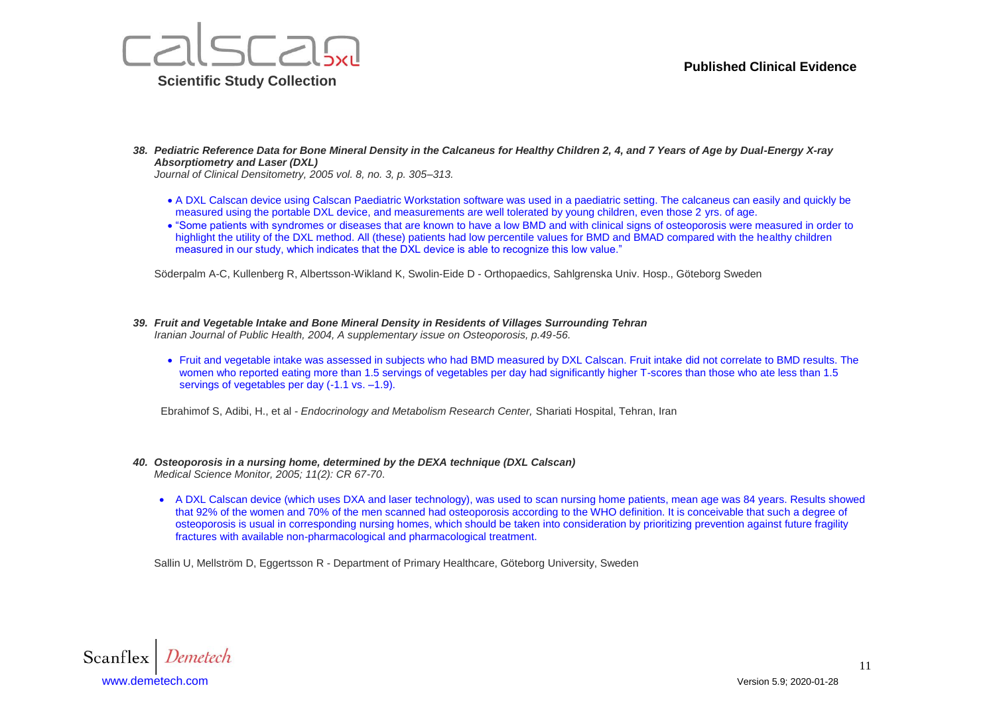

*38. Pediatric Reference Data for Bone Mineral Density in the Calcaneus for Healthy Children 2, 4, and 7 Years of Age by Dual-Energy X-ray Absorptiometry and Laser (DXL)*

*Journal of Clinical Densitometry, 2005 vol. 8, no. 3, p. 305–313.*

- A DXL Calscan device using Calscan Paediatric Workstation software was used in a paediatric setting. The calcaneus can easily and quickly be measured using the portable DXL device, and measurements are well tolerated by young children, even those 2 yrs. of age.
- "Some patients with syndromes or diseases that are known to have a low BMD and with clinical signs of osteoporosis were measured in order to highlight the utility of the DXL method. All (these) patients had low percentile values for BMD and BMAD compared with the healthy children measured in our study, which indicates that the DXL device is able to recognize this low value."

Söderpalm A-C, Kullenberg R, Albertsson-Wikland K, Swolin-Eide D - Orthopaedics, Sahlgrenska Univ. Hosp., Göteborg Sweden

- *39. Fruit and Vegetable Intake and Bone Mineral Density in Residents of Villages Surrounding Tehran Iranian Journal of Public Health, 2004, A supplementary issue on Osteoporosis, p.49-56.*
	- Fruit and vegetable intake was assessed in subjects who had BMD measured by DXL Calscan. Fruit intake did not correlate to BMD results. The women who reported eating more than 1.5 servings of vegetables per day had significantly higher T-scores than those who ate less than 1.5 servings of vegetables per day (-1.1 vs. –1.9).

Ebrahimof S, Adibi, H., et al - *Endocrinology and Metabolism Research Center,* Shariati Hospital, Tehran, Iran

#### *40. Osteoporosis in a nursing home, determined by the DEXA technique (DXL Calscan) Medical Science Monitor, 2005; 11(2): CR 67-70*.

• A DXL Calscan device (which uses DXA and laser technology), was used to scan nursing home patients, mean age was 84 years. Results showed that 92% of the women and 70% of the men scanned had osteoporosis according to the WHO definition. It is conceivable that such a degree of osteoporosis is usual in corresponding nursing homes, which should be taken into consideration by prioritizing prevention against future fragility fractures with available non-pharmacological and pharmacological treatment.

Sallin U, Mellström D, Eggertsson R - Department of Primary Healthcare, Göteborg University, Sweden